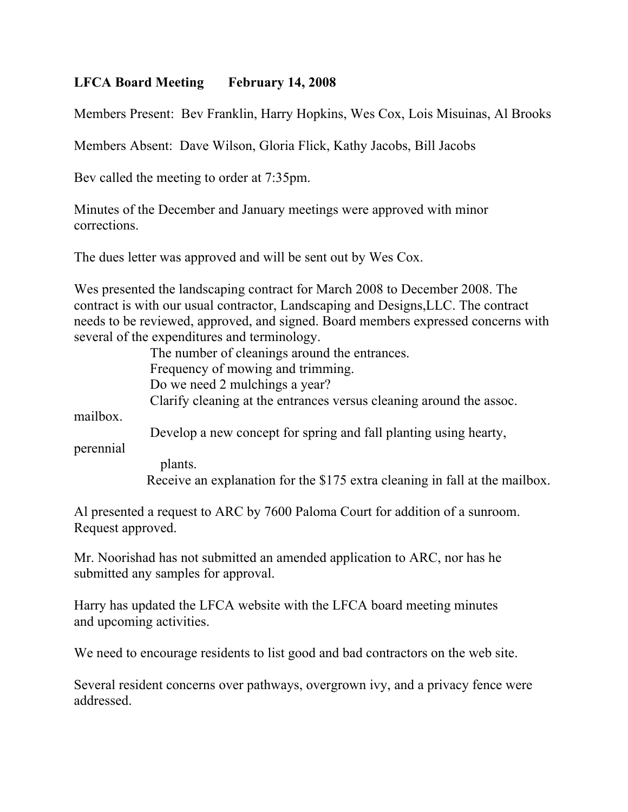## **LFCA Board Meeting February 14, 2008**

Members Present: Bev Franklin, Harry Hopkins, Wes Cox, Lois Misuinas, Al Brooks

Members Absent: Dave Wilson, Gloria Flick, Kathy Jacobs, Bill Jacobs

Bev called the meeting to order at 7:35pm.

Minutes of the December and January meetings were approved with minor corrections.

The dues letter was approved and will be sent out by Wes Cox.

Wes presented the landscaping contract for March 2008 to December 2008. The contract is with our usual contractor, Landscaping and Designs,LLC. The contract needs to be reviewed, approved, and signed. Board members expressed concerns with several of the expenditures and terminology.

> The number of cleanings around the entrances. Frequency of mowing and trimming. Do we need 2 mulchings a year? Clarify cleaning at the entrances versus cleaning around the assoc.

mailbox.

Develop a new concept for spring and fall planting using hearty,

perennial

plants.

Receive an explanation for the \$175 extra cleaning in fall at the mailbox.

Al presented a request to ARC by 7600 Paloma Court for addition of a sunroom. Request approved.

Mr. Noorishad has not submitted an amended application to ARC, nor has he submitted any samples for approval.

Harry has updated the LFCA website with the LFCA board meeting minutes and upcoming activities.

We need to encourage residents to list good and bad contractors on the web site.

Several resident concerns over pathways, overgrown ivy, and a privacy fence were addressed.